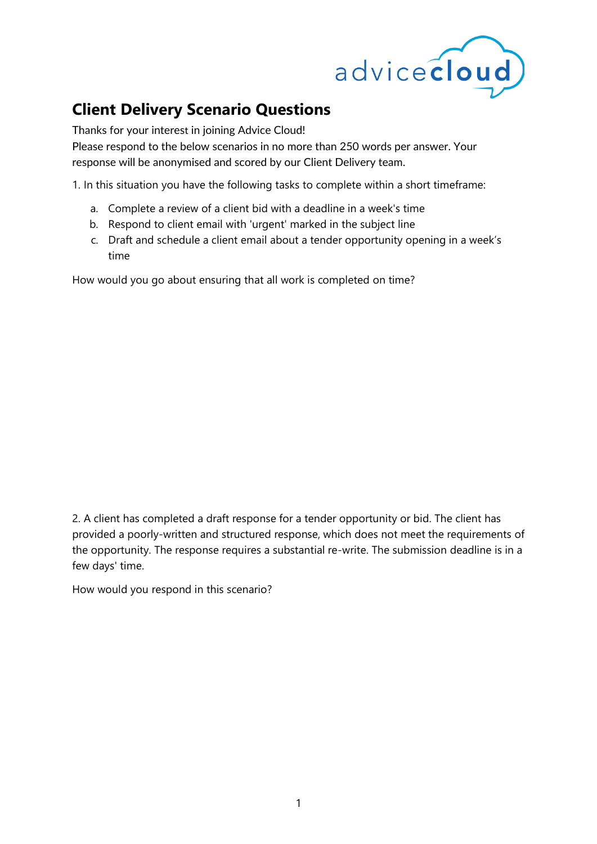

## **Client Delivery Scenario Questions**

Thanks for your interest in joining Advice Cloud!

Please respond to the below scenarios in no more than 250 words per answer. Your response will be anonymised and scored by our Client Delivery team.

1. In this situation you have the following tasks to complete within a short timeframe:

- a. Complete a review of a client bid with a deadline in a week's time
- b. Respond to client email with 'urgent' marked in the subject line
- c. Draft and schedule a client email about a tender opportunity opening in a week's time

How would you go about ensuring that all work is completed on time?

2. A client has completed a draft response for a tender opportunity or bid. The client has provided a poorly-written and structured response, which does not meet the requirements of the opportunity. The response requires a substantial re-write. The submission deadline is in a few days' time.

How would you respond in this scenario?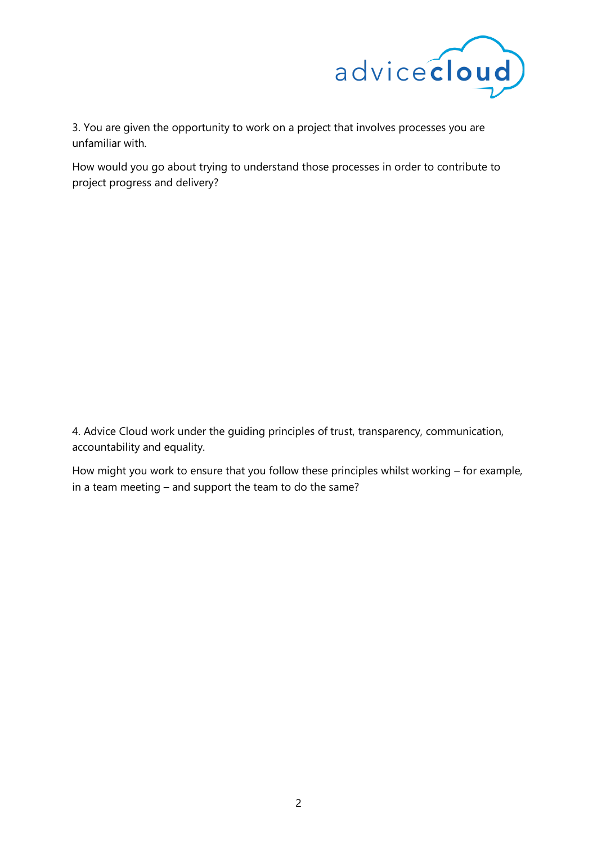

3. You are given the opportunity to work on a project that involves processes you are unfamiliar with.

How would you go about trying to understand those processes in order to contribute to project progress and delivery?

4. Advice Cloud work under the guiding principles of trust, transparency, communication, accountability and equality.

How might you work to ensure that you follow these principles whilst working – for example, in a team meeting – and support the team to do the same?